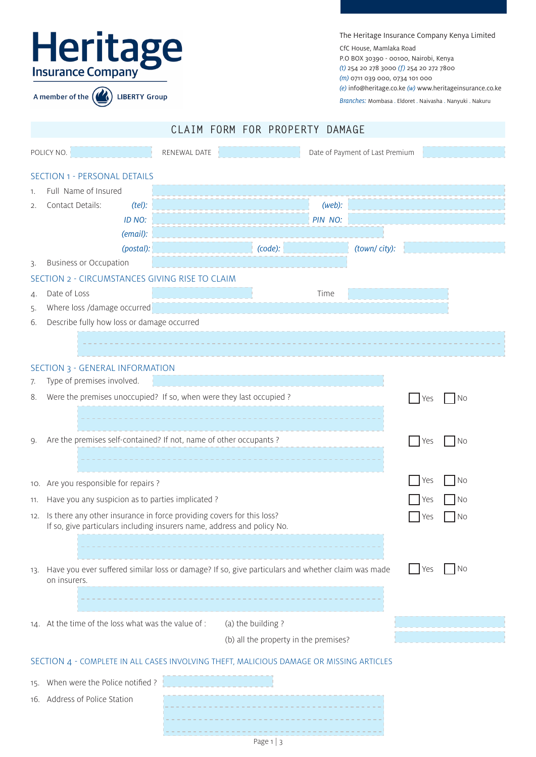|                | Heritage<br><b>LIBERTY Group</b><br>A member of the                                                                                                                                                                                               | The Heritage Insurance Company Kenya Limited<br>CfC House, Mamlaka Road<br>P.O BOX 30390 - 00100, Nairobi, Kenya<br>$(t)$ 254 20 278 3000 $(f)$ 254 20 272 7800<br>(m) 0711 039 000, 0734 101 000<br>Branches: Mombasa. Eldoret. Naivasha. Nanyuki. Nakuru |                   | (e) info@heritage.co.ke $(w)$ www.heritageinsurance.co.ke |                                 |                   |                                        |
|----------------|---------------------------------------------------------------------------------------------------------------------------------------------------------------------------------------------------------------------------------------------------|------------------------------------------------------------------------------------------------------------------------------------------------------------------------------------------------------------------------------------------------------------|-------------------|-----------------------------------------------------------|---------------------------------|-------------------|----------------------------------------|
|                |                                                                                                                                                                                                                                                   |                                                                                                                                                                                                                                                            |                   |                                                           |                                 |                   |                                        |
|                |                                                                                                                                                                                                                                                   |                                                                                                                                                                                                                                                            |                   | CLAIM FORM FOR PROPERTY DAMAGE                            |                                 |                   |                                        |
|                | POLICY NO.                                                                                                                                                                                                                                        | RENEWAL DATE                                                                                                                                                                                                                                               |                   |                                                           | Date of Payment of Last Premium |                   |                                        |
| 1.<br>2.       | <b>SECTION 1 - PERSONAL DETAILS</b><br>Full Name of Insured<br>Contact Details:<br>$(tel)$ :<br>ID NO:<br>(email):<br>(postal):                                                                                                                   |                                                                                                                                                                                                                                                            |                   | (web):<br>PIN NO:<br>(code):                              | (town/city):                    |                   |                                        |
| 3.             | <b>Business or Occupation</b>                                                                                                                                                                                                                     |                                                                                                                                                                                                                                                            |                   |                                                           |                                 |                   |                                        |
| 4.<br>5.<br>6. | SECTION 2 - CIRCUMSTANCES GIVING RISE TO CLAIM<br>Date of Loss<br>Where loss /damage occurred<br>Describe fully how loss or damage occurred                                                                                                       |                                                                                                                                                                                                                                                            |                   | Time                                                      |                                 |                   |                                        |
|                |                                                                                                                                                                                                                                                   |                                                                                                                                                                                                                                                            |                   |                                                           |                                 |                   |                                        |
| 7.<br>8.       | SECTION 3 - GENERAL INFORMATION<br>Type of premises involved.<br>Were the premises unoccupied? If so, when were they last occupied ?                                                                                                              |                                                                                                                                                                                                                                                            |                   |                                                           |                                 | Yes               | N0                                     |
| 9.             | Are the premises self-contained? If not, name of other occupants ?                                                                                                                                                                                |                                                                                                                                                                                                                                                            |                   |                                                           |                                 | Yes               | No                                     |
| 11.            | 10. Are you responsible for repairs ?<br>Have you any suspicion as to parties implicated?<br>12. Is there any other insurance in force providing covers for this loss?<br>If so, give particulars including insurers name, address and policy No. |                                                                                                                                                                                                                                                            |                   |                                                           |                                 | Yes<br>Yes<br>Yes | No<br>N <sub>o</sub><br>N <sub>o</sub> |
| 13.            | Have you ever suffered similar loss or damage? If so, give particulars and whether claim was made<br>on insurers.                                                                                                                                 |                                                                                                                                                                                                                                                            |                   |                                                           |                                 | Yes               | No                                     |
|                | 14. At the time of the loss what was the value of:                                                                                                                                                                                                |                                                                                                                                                                                                                                                            | (a) the building? | (b) all the property in the premises?                     |                                 |                   |                                        |
|                | SECTION 4 - COMPLETE IN ALL CASES INVOLVING THEFT, MALICIOUS DAMAGE OR MISSING ARTICLES                                                                                                                                                           |                                                                                                                                                                                                                                                            |                   |                                                           |                                 |                   |                                        |
|                | 15. When were the Police notified?<br>16. Address of Police Station                                                                                                                                                                               |                                                                                                                                                                                                                                                            |                   |                                                           |                                 |                   |                                        |

Page 1 | 3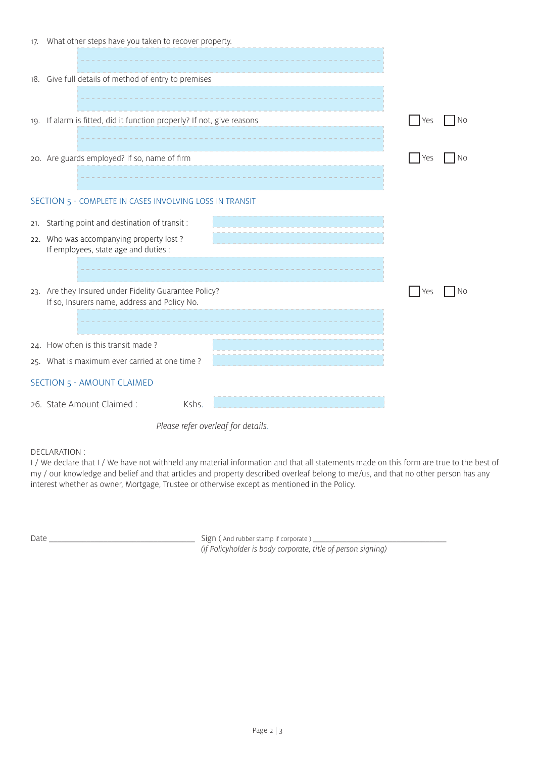| 17. What other steps have you taken to recover property.                                              |     |    |
|-------------------------------------------------------------------------------------------------------|-----|----|
| 18. Give full details of method of entry to premises                                                  |     |    |
| 19. If alarm is fitted, did it function properly? If not, give reasons                                | Yes | N0 |
| 20. Are guards employed? If so, name of firm                                                          | Yes | No |
| SECTION 5 - COMPLETE IN CASES INVOLVING LOSS IN TRANSIT                                               |     |    |
| 21. Starting point and destination of transit:                                                        |     |    |
| 22. Who was accompanying property lost?<br>If employees, state age and duties :                       |     |    |
| 23. Are they Insured under Fidelity Guarantee Policy?<br>If so, Insurers name, address and Policy No. | Yes | Νo |
| 24. How often is this transit made?                                                                   |     |    |
| 25. What is maximum ever carried at one time?                                                         |     |    |
| <b>SECTION 5 - AMOUNT CLAIMED</b>                                                                     |     |    |
| Kshs.<br>26. State Amount Claimed:                                                                    |     |    |
| Please refer overleaf for details.                                                                    |     |    |

## DECLARATION :

I/ We declare that I/ We have not withheld any material information and that all statements made on this form are true to the best of my / our knowledge and belief and that articles and property described overleaf belong to me/us, and that no other person has any interest whether as owner, Mortgage, Trustee or otherwise except as mentioned in the Policy.

Date \_\_\_\_\_\_\_\_\_\_\_\_\_\_\_\_\_\_\_\_\_\_\_\_\_\_\_\_\_\_\_\_\_\_\_ Sign ( And rubber stamp if corporate ) \_\_\_\_\_\_\_\_\_\_\_\_\_\_\_\_\_\_\_\_\_\_\_\_\_\_\_\_\_\_\_\_ (if Policyholder is body corporate, title of person signing)